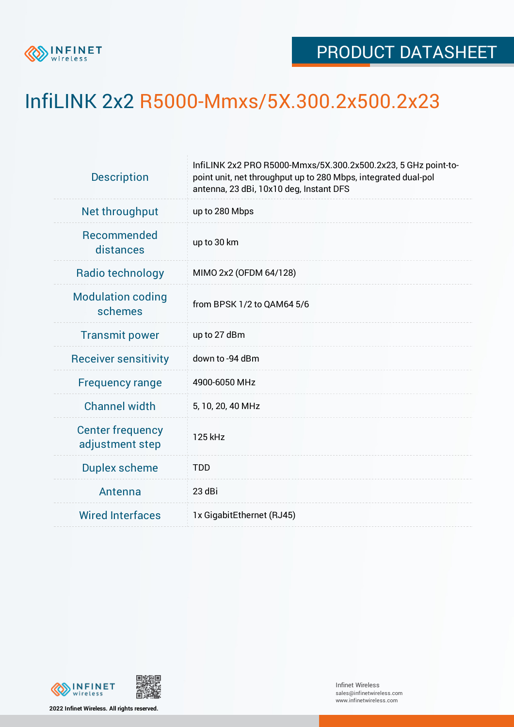

## InfiLINK 2x2 R5000-Mmxs/5X.300.2x500.2x23

| <b>Description</b>                         | InfiLINK 2x2 PRO R5000-Mmxs/5X.300.2x500.2x23, 5 GHz point-to-<br>point unit, net throughput up to 280 Mbps, integrated dual-pol<br>antenna, 23 dBi, 10x10 deg, Instant DFS |  |  |  |  |
|--------------------------------------------|-----------------------------------------------------------------------------------------------------------------------------------------------------------------------------|--|--|--|--|
| Net throughput                             | up to 280 Mbps                                                                                                                                                              |  |  |  |  |
| Recommended<br>distances                   | up to 30 km                                                                                                                                                                 |  |  |  |  |
| Radio technology                           | MIMO 2x2 (OFDM 64/128)                                                                                                                                                      |  |  |  |  |
| <b>Modulation coding</b><br>schemes        | from BPSK 1/2 to QAM64 5/6                                                                                                                                                  |  |  |  |  |
| <b>Transmit power</b>                      | up to 27 dBm                                                                                                                                                                |  |  |  |  |
| <b>Receiver sensitivity</b>                | down to -94 dBm                                                                                                                                                             |  |  |  |  |
| <b>Frequency range</b>                     | 4900-6050 MHz                                                                                                                                                               |  |  |  |  |
| <b>Channel width</b>                       | 5, 10, 20, 40 MHz                                                                                                                                                           |  |  |  |  |
| <b>Center frequency</b><br>adjustment step | 125 kHz                                                                                                                                                                     |  |  |  |  |
| <b>Duplex scheme</b>                       | <b>TDD</b>                                                                                                                                                                  |  |  |  |  |
| Antenna                                    | 23 dBi                                                                                                                                                                      |  |  |  |  |
| <b>Wired Interfaces</b>                    | 1x GigabitEthernet (RJ45)                                                                                                                                                   |  |  |  |  |



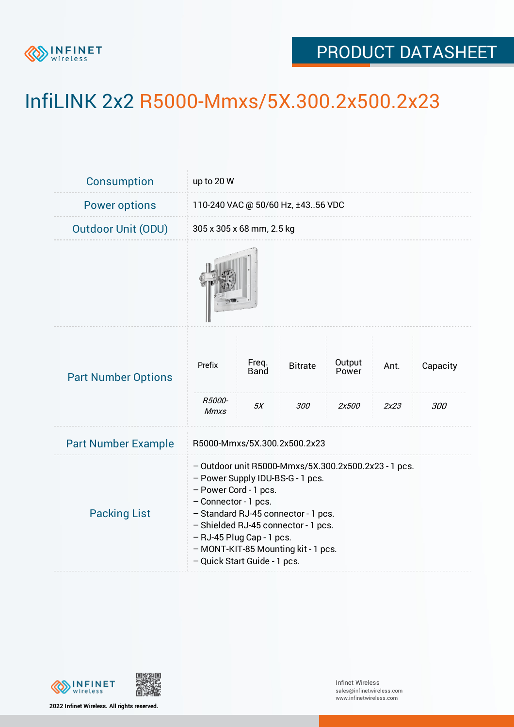

## PRODUCT DATASHEET

## InfiLINK 2x2 R5000-Mmxs/5X.300.2x500.2x23

| Consumption                | up to 20 W                                                                                                                                                                                                                                                                                                                  |                      |                |                 |      |          |  |
|----------------------------|-----------------------------------------------------------------------------------------------------------------------------------------------------------------------------------------------------------------------------------------------------------------------------------------------------------------------------|----------------------|----------------|-----------------|------|----------|--|
| <b>Power options</b>       | 110-240 VAC @ 50/60 Hz, ±4356 VDC                                                                                                                                                                                                                                                                                           |                      |                |                 |      |          |  |
| <b>Outdoor Unit (ODU)</b>  | 305 x 305 x 68 mm, 2.5 kg                                                                                                                                                                                                                                                                                                   |                      |                |                 |      |          |  |
|                            |                                                                                                                                                                                                                                                                                                                             |                      |                |                 |      |          |  |
| <b>Part Number Options</b> | Prefix<br>R5000-                                                                                                                                                                                                                                                                                                            | Freq.<br><b>Band</b> | <b>Bitrate</b> | Output<br>Power | Ant. | Capacity |  |
|                            | <b>Mmxs</b>                                                                                                                                                                                                                                                                                                                 | 5X                   | 300            | 2x500           | 2x23 | 300      |  |
| <b>Part Number Example</b> | R5000-Mmxs/5X.300.2x500.2x23                                                                                                                                                                                                                                                                                                |                      |                |                 |      |          |  |
| <b>Packing List</b>        | - Outdoor unit R5000-Mmxs/5X.300.2x500.2x23 - 1 pcs.<br>- Power Supply IDU-BS-G - 1 pcs.<br>- Power Cord - 1 pcs.<br>- Connector - 1 pcs.<br>- Standard RJ-45 connector - 1 pcs.<br>- Shielded RJ-45 connector - 1 pcs.<br>- RJ-45 Plug Cap - 1 pcs.<br>- MONT-KIT-85 Mounting kit - 1 pcs.<br>- Quick Start Guide - 1 pcs. |                      |                |                 |      |          |  |



**2022 Infinet Wireless. All rights reserved.**

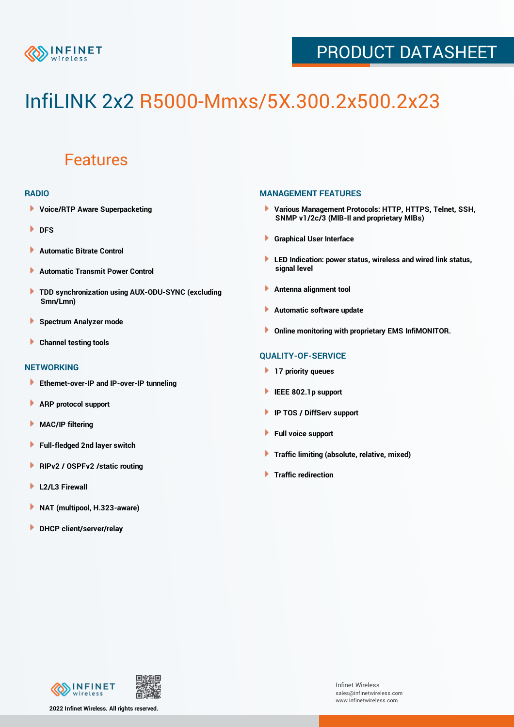

## PRODUCT DATASHEET

# InfiLINK 2x2 R5000-Mmxs/5X.300.2x500.2x23

### Features

#### **RADIO**

- **Voice/RTP Aware Superpacketing**
- ٠ **DFS**
- **Automatic Bitrate Control** Þ
- Þ **Automatic Transmit Power Control**
- ь **TDD synchronization using AUX-ODU-SYNC (excluding Smn/Lmn)**
- **Spectrum Analyzer mode** ۰
- **Channel testing tools** ١

#### **NETWORKING**

- **Ethernet-over-IP and IP-over-IP tunneling**
- **ARP protocol support** ٠
- ۱ **MAC/IP filtering**
- Þ **Full-fledged 2nd layer switch**
- Þ **RIPv2 / OSPFv2 /static routing**
- **L2/L3 Firewall** Þ
- **NAT (multipool, H.323-aware)** Þ
- Þ **DHCP client/server/relay**

#### **MANAGEMENT FEATURES**

- **Various Management Protocols: HTTP, HTTPS, Telnet, SSH, SNMP v1/2c/3 (MIB-II and proprietary MIBs)**
- **Graphical User Interface**
- **LED Indication: power status, wireless and wired link status, signal level**
- **Antenna alignment tool**
- ٠ **Automatic software update**
- **Online monitoring with proprietary EMS InfiMONITOR.**

#### **QUALITY-OF-SERVICE**

- **17 priority queues**
- **IEEE 802.1p support**
- **IP TOS / DiffServ support**
- ٠ **Full voice support**
- **Traffic limiting (absolute, relative, mixed)** ٠
- **Traffic redirection**